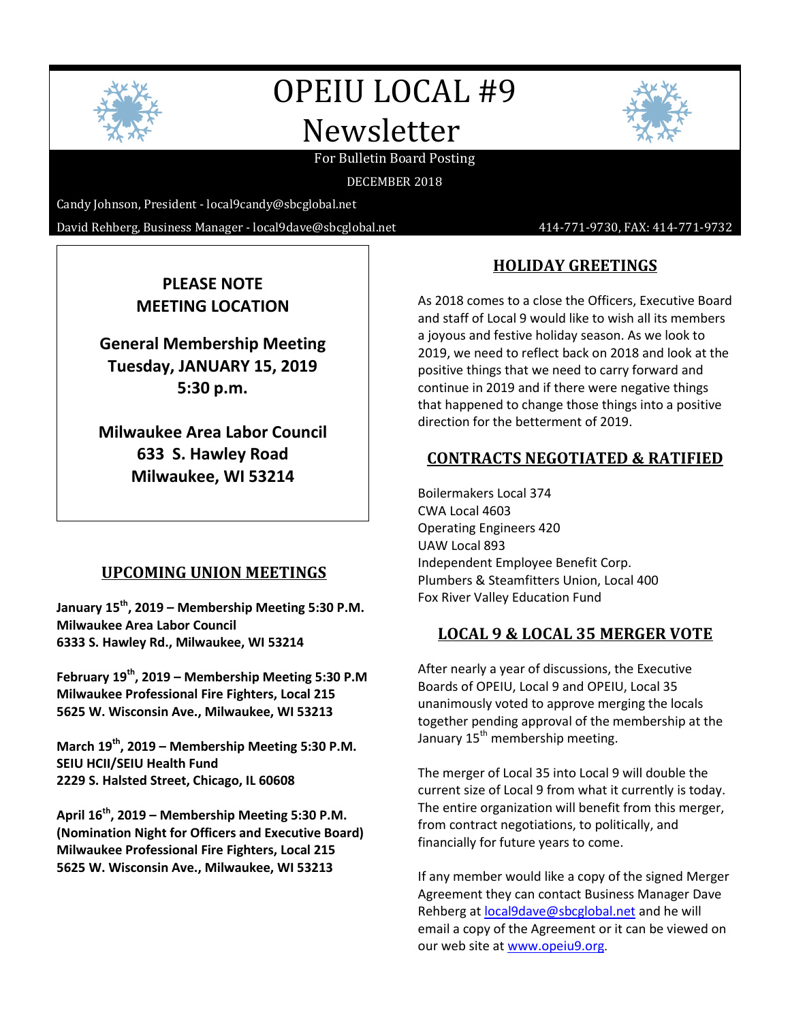

# OPEIU LOCAL #9 Newsletter



#### For Bulletin Board Posting

DECEMBER 2018

Candy Johnson, President - [local9candy@sbcglobal.net](mailto:local9candy@sbcglobal.net)

David Rehberg, Business Manager - local9dave@sbcglobal.net 414-771-9730, FAX: 414-771-9732

# **PLEASE NOTE MEETING LOCATION**

**General Membership Meeting Tuesday, JANUARY 15, 2019 5:30 p.m.**

**Milwaukee Area Labor Council 633 S. Hawley Road Milwaukee, WI 53214**

#### **UPCOMING UNION MEETINGS**

**January 15th, 2019 – Membership Meeting 5:30 P.M. Milwaukee Area Labor Council 6333 S. Hawley Rd., Milwaukee, WI 53214**

**February 19th, 2019 – Membership Meeting 5:30 P.M Milwaukee Professional Fire Fighters, Local 215 5625 W. Wisconsin Ave., Milwaukee, WI 53213**

**March 19th, 2019 – Membership Meeting 5:30 P.M. SEIU HCII/SEIU Health Fund 2229 S. Halsted Street, Chicago, IL 60608**

**April 16th, 2019 – Membership Meeting 5:30 P.M. (Nomination Night for Officers and Executive Board) Milwaukee Professional Fire Fighters, Local 215 5625 W. Wisconsin Ave., Milwaukee, WI 53213**

# **HOLIDAY GREETINGS**

As 2018 comes to a close the Officers, Executive Board and staff of Local 9 would like to wish all its members a joyous and festive holiday season. As we look to 2019, we need to reflect back on 2018 and look at the positive things that we need to carry forward and continue in 2019 and if there were negative things that happened to change those things into a positive direction for the betterment of 2019.

#### **CONTRACTS NEGOTIATED & RATIFIED**

Boilermakers Local 374 CWA Local 4603 Operating Engineers 420 UAW Local 893 Independent Employee Benefit Corp. Plumbers & Steamfitters Union, Local 400 Fox River Valley Education Fund

#### **LOCAL 9 & LOCAL 35 MERGER VOTE**

After nearly a year of discussions, the Executive Boards of OPEIU, Local 9 and OPEIU, Local 35 unanimously voted to approve merging the locals together pending approval of the membership at the January 15<sup>th</sup> membership meeting.

The merger of Local 35 into Local 9 will double the current size of Local 9 from what it currently is today. The entire organization will benefit from this merger, from contract negotiations, to politically, and financially for future years to come.

If any member would like a copy of the signed Merger Agreement they can contact Business Manager Dave Rehberg a[t local9dave@sbcglobal.net](mailto:local9dave@sbcglobal.net) and he will email a copy of the Agreement or it can be viewed on our web site a[t www.opeiu9.org](http://www.opeiu9.org/).